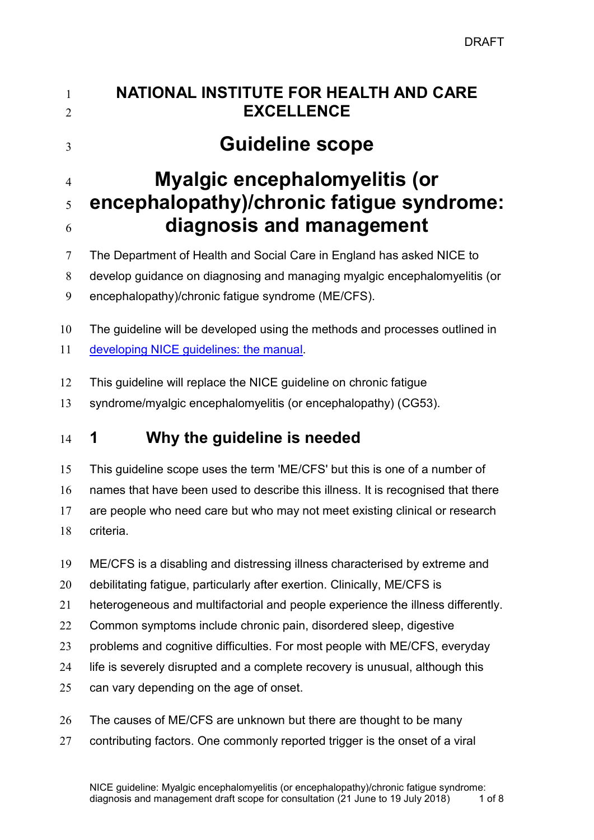| $\mathbf{1}$<br>2 | <b>NATIONAL INSTITUTE FOR HEALTH AND CARE</b><br><b>EXCELLENCE</b>                                                                                                                       |  |  |
|-------------------|------------------------------------------------------------------------------------------------------------------------------------------------------------------------------------------|--|--|
| 3                 | <b>Guideline scope</b>                                                                                                                                                                   |  |  |
| 4                 | <b>Myalgic encephalomyelitis (or</b>                                                                                                                                                     |  |  |
| 5                 | encephalopathy)/chronic fatigue syndrome:                                                                                                                                                |  |  |
| 6                 | diagnosis and management                                                                                                                                                                 |  |  |
| 7                 | The Department of Health and Social Care in England has asked NICE to                                                                                                                    |  |  |
| 8                 | develop guidance on diagnosing and managing myalgic encephalomyelitis (or                                                                                                                |  |  |
| 9                 | encephalopathy)/chronic fatigue syndrome (ME/CFS).                                                                                                                                       |  |  |
| 10                | The guideline will be developed using the methods and processes outlined in                                                                                                              |  |  |
| 11                | developing NICE guidelines: the manual.                                                                                                                                                  |  |  |
| 12                | This guideline will replace the NICE guideline on chronic fatigue                                                                                                                        |  |  |
| 13                | syndrome/myalgic encephalomyelitis (or encephalopathy) (CG53).                                                                                                                           |  |  |
| 14                | Why the guideline is needed<br>1                                                                                                                                                         |  |  |
| 15                | This guideline scope uses the term 'ME/CFS' but this is one of a number of                                                                                                               |  |  |
| 16                | names that have been used to describe this illness. It is recognised that there                                                                                                          |  |  |
| 17                | are people who need care but who may not meet existing clinical or research                                                                                                              |  |  |
| 18                | criteria.                                                                                                                                                                                |  |  |
| 19                | ME/CFS is a disabling and distressing illness characterised by extreme and                                                                                                               |  |  |
| 20                | debilitating fatigue, particularly after exertion. Clinically, ME/CFS is                                                                                                                 |  |  |
| 21                | heterogeneous and multifactorial and people experience the illness differently.                                                                                                          |  |  |
| 22                | Common symptoms include chronic pain, disordered sleep, digestive                                                                                                                        |  |  |
| 23                | problems and cognitive difficulties. For most people with ME/CFS, everyday                                                                                                               |  |  |
| 24                | life is severely disrupted and a complete recovery is unusual, although this                                                                                                             |  |  |
| 25                | can vary depending on the age of onset.                                                                                                                                                  |  |  |
| 26                | The causes of ME/CFS are unknown but there are thought to be many                                                                                                                        |  |  |
| 27                | contributing factors. One commonly reported trigger is the onset of a viral                                                                                                              |  |  |
|                   | NICE guideline: Myalgic encephalomyelitis (or encephalopathy)/chronic fatigue syndrome:<br>diagnosis and management draft scope for consultation (21 June to 19 July 2018)<br>$1$ of $8$ |  |  |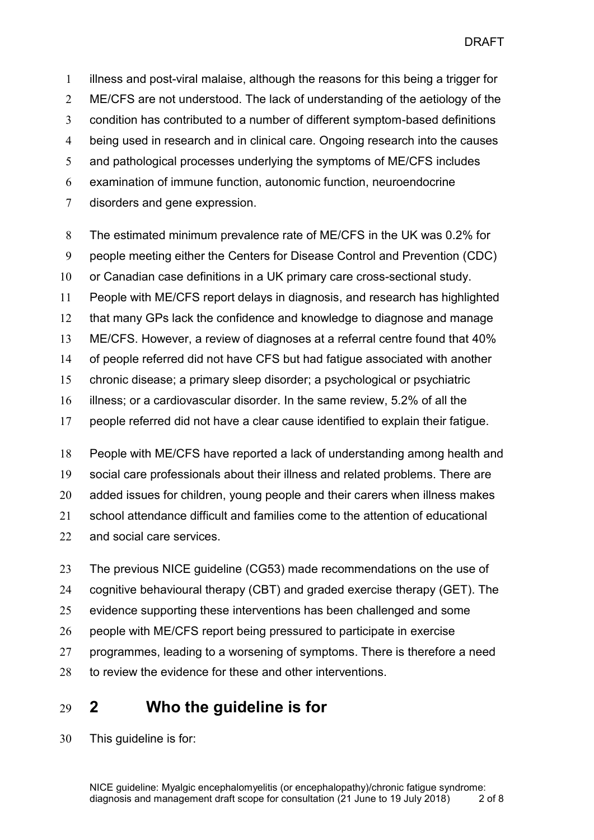illness and post-viral malaise, although the reasons for this being a trigger for ME/CFS are not understood. The lack of understanding of the aetiology of the condition has contributed to a number of different symptom-based definitions being used in research and in clinical care. Ongoing research into the causes and pathological processes underlying the symptoms of ME/CFS includes examination of immune function, autonomic function, neuroendocrine disorders and gene expression.

 The estimated minimum prevalence rate of ME/CFS in the UK was 0.2% for people meeting either the Centers for Disease Control and Prevention (CDC) or Canadian case definitions in a UK primary care cross-sectional study. People with ME/CFS report delays in diagnosis, and research has highlighted that many GPs lack the confidence and knowledge to diagnose and manage ME/CFS. However, a review of diagnoses at a referral centre found that 40% of people referred did not have CFS but had fatigue associated with another chronic disease; a primary sleep disorder; a psychological or psychiatric illness; or a cardiovascular disorder. In the same review, 5.2% of all the people referred did not have a clear cause identified to explain their fatigue.

 People with ME/CFS have reported a lack of understanding among health and social care professionals about their illness and related problems. There are added issues for children, young people and their carers when illness makes school attendance difficult and families come to the attention of educational and social care services.

 The previous NICE guideline (CG53) made recommendations on the use of cognitive behavioural therapy (CBT) and graded exercise therapy (GET). The evidence supporting these interventions has been challenged and some people with ME/CFS report being pressured to participate in exercise programmes, leading to a worsening of symptoms. There is therefore a need 28 to review the evidence for these and other interventions.

# **2 Who the guideline is for**

This guideline is for: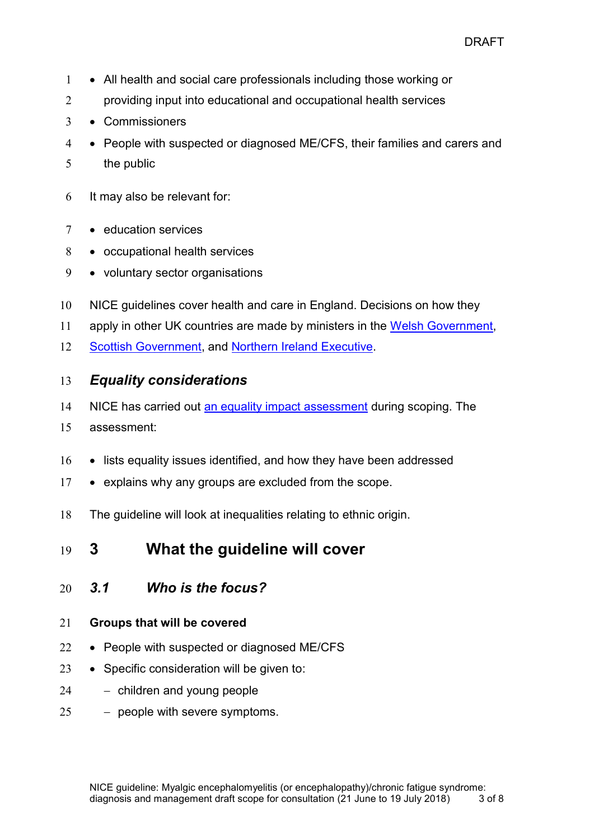- 1 All health and social care professionals including those working or
- 2 providing input into educational and occupational health services
- 3 Commissioners
- 4 People with suspected or diagnosed ME/CFS, their families and carers and
- 5 the public
- 6 It may also be relevant for:
- 7 · education services
- 8 occupational health services
- 9 voluntary sector organisations
- 10 NICE guidelines cover health and care in England. Decisions on how they
- 11 apply in other UK countries are made by ministers in the [Welsh Government,](http://wales.gov.uk/)
- 12 [Scottish Government,](http://www.scotland.gov.uk/) and [Northern Ireland Executive.](http://www.northernireland.gov.uk/)

### 13 *Equality considerations*

- 14 NICE has carried out [an equality impact assessment](http://www.nice.org.uk/guidance/indevelopment/gid-xxx/documents) during scoping. The
- 15 assessment:
- 16 lists equality issues identified, and how they have been addressed
- 17 explains why any groups are excluded from the scope.
- 18 The guideline will look at inequalities relating to ethnic origin.
- 19 **3 What the guideline will cover**
- 20 *3.1 Who is the focus?*

#### 21 **Groups that will be covered**

- 22 People with suspected or diagnosed ME/CFS
- 23  $\bullet$  Specific consideration will be given to:
- 24 children and young people
- $25 -$  people with severe symptoms.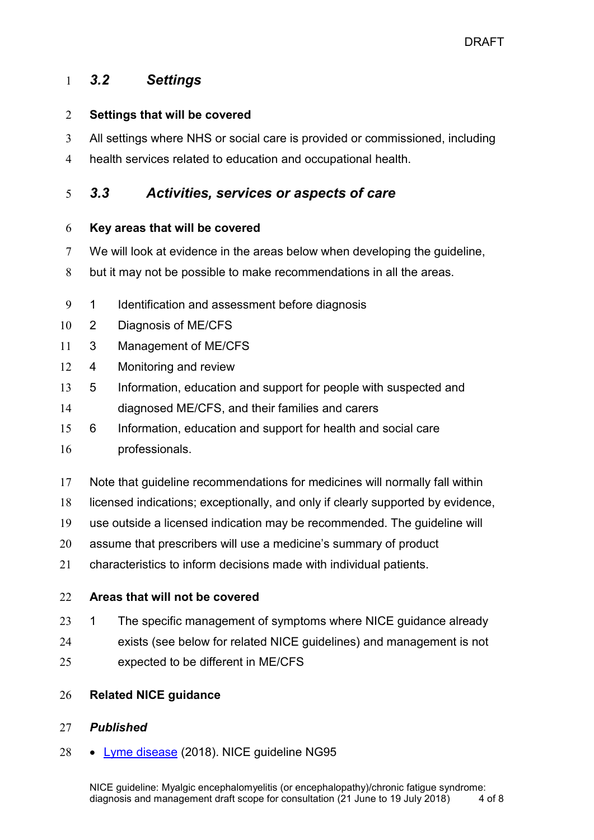### *3.2 Settings*

#### **Settings that will be covered**

- All settings where NHS or social care is provided or commissioned, including
- health services related to education and occupational health.

### *3.3 Activities, services or aspects of care*

#### **Key areas that will be covered**

- We will look at evidence in the areas below when developing the guideline,
- but it may not be possible to make recommendations in all the areas.
- 1 Identification and assessment before diagnosis
- 2 Diagnosis of ME/CFS
- 3 Management of ME/CFS
- 4 Monitoring and review
- 5 Information, education and support for people with suspected and
- diagnosed ME/CFS, and their families and carers
- 6 Information, education and support for health and social care
- professionals.
- Note that guideline recommendations for medicines will normally fall within
- licensed indications; exceptionally, and only if clearly supported by evidence,
- use outside a licensed indication may be recommended. The guideline will
- assume that prescribers will use a medicine's summary of product
- characteristics to inform decisions made with individual patients.

#### **Areas that will not be covered**

- 23 1 The specific management of symptoms where NICE guidance already
- exists (see below for related NICE guidelines) and management is not
- expected to be different in ME/CFS

### **Related NICE guidance**

### *Published*

28 • [Lyme disease](https://www.nice.org.uk/guidance/ng95) (2018). NICE guideline NG95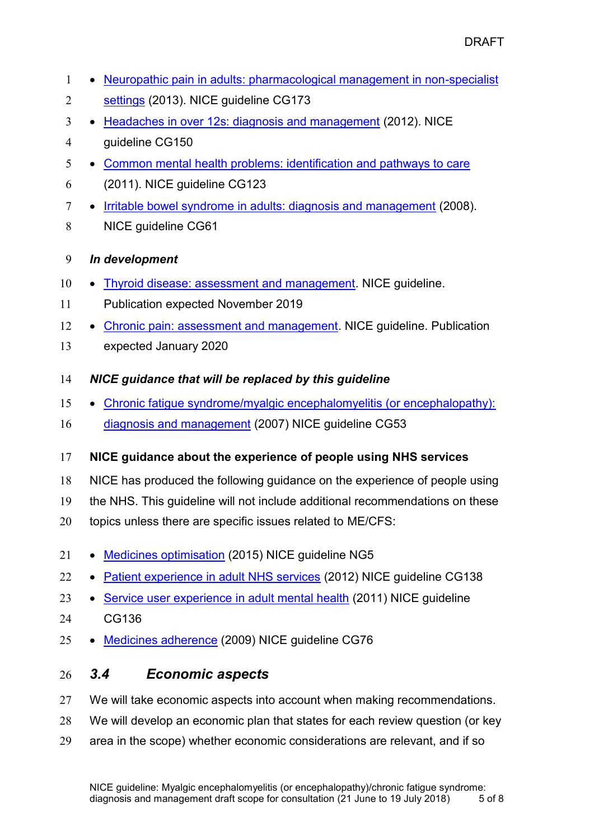- 1 Neuropathic pain in adults: pharmacological management in non-specialist
- [settings](https://www.nice.org.uk/guidance/cg173) (2013). NICE guideline CG173
- 3 [Headaches in over 12s: diagnosis and management](https://www.nice.org.uk/guidance/cg150) (2012). NICE
- guideline CG150
- [Common mental health problems: identification and pathways to care](https://www.nice.org.uk/guidance/cg123)
- (2011). NICE guideline CG123
- 7 [Irritable bowel syndrome in adults: diagnosis and management](https://www.nice.org.uk/guidance/cg61) (2008).
- NICE guideline CG61

### *In development*

- 10 [Thyroid disease: assessment and management.](https://www.nice.org.uk/guidance/indevelopment/gid-ng10074) NICE guideline.
- Publication expected November 2019
- 12 [Chronic pain: assessment and management.](https://www.nice.org.uk/guidance/indevelopment/gid-ng10069) NICE guideline. Publication
- expected January 2020
- *NICE guidance that will be replaced by this guideline*
- [Chronic fatigue syndrome/myalgic encephalomyelitis \(or encephalopathy\):](https://www.nice.org.uk/guidance/cg53/)
- [diagnosis and management](https://www.nice.org.uk/guidance/cg53/) (2007) NICE guideline CG53

## **NICE guidance about the experience of people using NHS services**

- NICE has produced the following guidance on the experience of people using
- the NHS. This guideline will not include additional recommendations on these
- topics unless there are specific issues related to ME/CFS:
- 21 [Medicines optimisation](http://www.nice.org.uk/guidance/ng5) (2015) NICE guideline NG5
- 22 [Patient experience in adult NHS services](http://www.nice.org.uk/guidance/CG138) (2012) NICE quideline CG138
- 23 [Service user experience](http://www.nice.org.uk/guidance/CG136) in adult mental health (2011) NICE guideline
- CG136
- 25 [Medicines adherence](http://www.nice.org.uk/guidance/cg76) (2009) NICE quideline CG76

## *3.4 Economic aspects*

- We will take economic aspects into account when making recommendations.
- We will develop an economic plan that states for each review question (or key
- area in the scope) whether economic considerations are relevant, and if so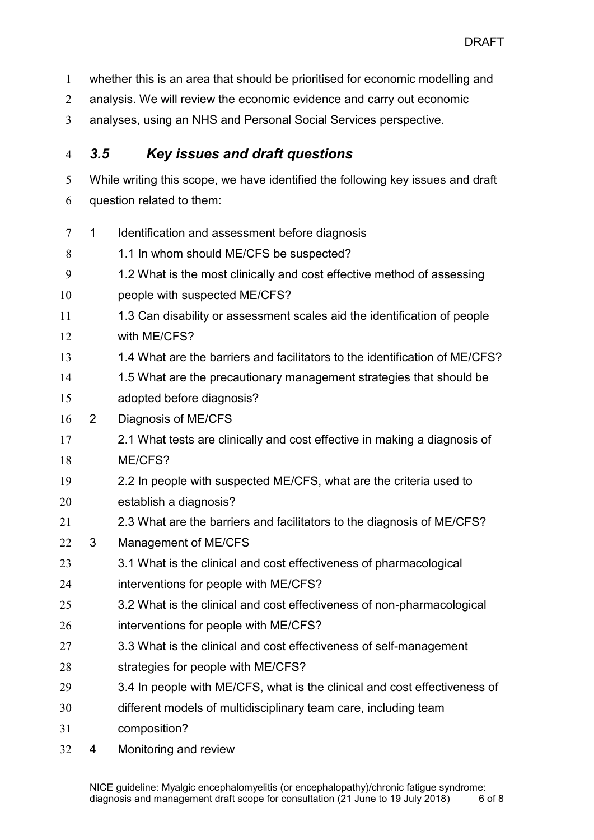whether this is an area that should be prioritised for economic modelling and

- analysis. We will review the economic evidence and carry out economic
- analyses, using an NHS and Personal Social Services perspective.

# *3.5 Key issues and draft questions*

While writing this scope, we have identified the following key issues and draft

question related to them:

- 1 Identification and assessment before diagnosis
- 8 1.1 In whom should ME/CFS be suspected?
- 1.2 What is the most clinically and cost effective method of assessing
- people with suspected ME/CFS?
- 11 1.3 Can disability or assessment scales aid the identification of people with ME/CFS?
- 1.4 What are the barriers and facilitators to the identification of ME/CFS?
- 1.5 What are the precautionary management strategies that should be adopted before diagnosis?
- 2 Diagnosis of ME/CFS
- 2.1 What tests are clinically and cost effective in making a diagnosis of ME/CFS?
- 2.2 In people with suspected ME/CFS, what are the criteria used to establish a diagnosis?
- 2.3 What are the barriers and facilitators to the diagnosis of ME/CFS?
- 3 Management of ME/CFS
- 3.1 What is the clinical and cost effectiveness of pharmacological interventions for people with ME/CFS?
- 3.2 What is the clinical and cost effectiveness of non-pharmacological interventions for people with ME/CFS?
- 3.3 What is the clinical and cost effectiveness of self-management
- strategies for people with ME/CFS?
- 3.4 In people with ME/CFS, what is the clinical and cost effectiveness of
- different models of multidisciplinary team care, including team
- composition?
- 4 Monitoring and review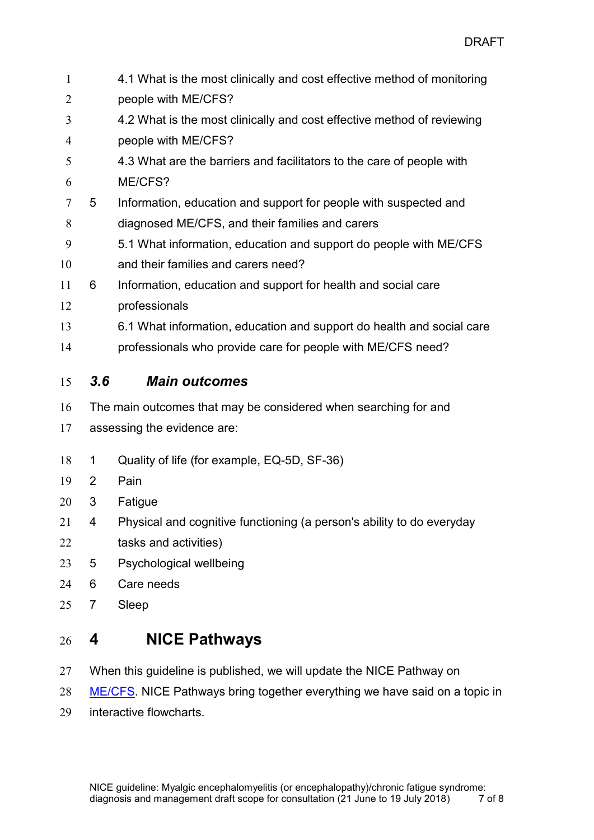| $\mathbf{1}$   |                             | 4.1 What is the most clinically and cost effective method of monitoring |
|----------------|-----------------------------|-------------------------------------------------------------------------|
| $\overline{2}$ |                             | people with ME/CFS?                                                     |
| 3              |                             | 4.2 What is the most clinically and cost effective method of reviewing  |
| $\overline{4}$ |                             | people with ME/CFS?                                                     |
| 5              |                             | 4.3 What are the barriers and facilitators to the care of people with   |
| 6              |                             | ME/CFS?                                                                 |
| 7              | 5                           | Information, education and support for people with suspected and        |
| 8              |                             | diagnosed ME/CFS, and their families and carers                         |
| 9              |                             | 5.1 What information, education and support do people with ME/CFS       |
| 10             |                             | and their families and carers need?                                     |
| 11             | 6                           | Information, education and support for health and social care           |
| 12             |                             | professionals                                                           |
| 13             |                             | 6.1 What information, education and support do health and social care   |
| 14             |                             | professionals who provide care for people with ME/CFS need?             |
| 15             | 3.6                         | <b>Main outcomes</b>                                                    |
| 16             |                             | The main outcomes that may be considered when searching for and         |
| 17             | assessing the evidence are: |                                                                         |
| 18             | 1                           | Quality of life (for example, EQ-5D, SF-36)                             |
| 19             | 2                           | Pain                                                                    |
| 20             | 3                           | Fatigue                                                                 |
| 21             | 4                           | Physical and cognitive functioning (a person's ability to do everyday   |
| 22             |                             | tasks and activities)                                                   |
| 23             | 5                           | Psychological wellbeing                                                 |
| 24             | 6                           | Care needs                                                              |
| 25             | 7                           | Sleep                                                                   |
| 26             | 4                           | <b>NICE Pathways</b>                                                    |

- When this guideline is published, we will update the NICE Pathway on
- [ME/CFS.](http://pathways.nice.org.uk/pathways/chronic-fatigue-syndrome-myalgic-encephalomyelitis) NICE Pathways bring together everything we have said on a topic in
- interactive flowcharts.